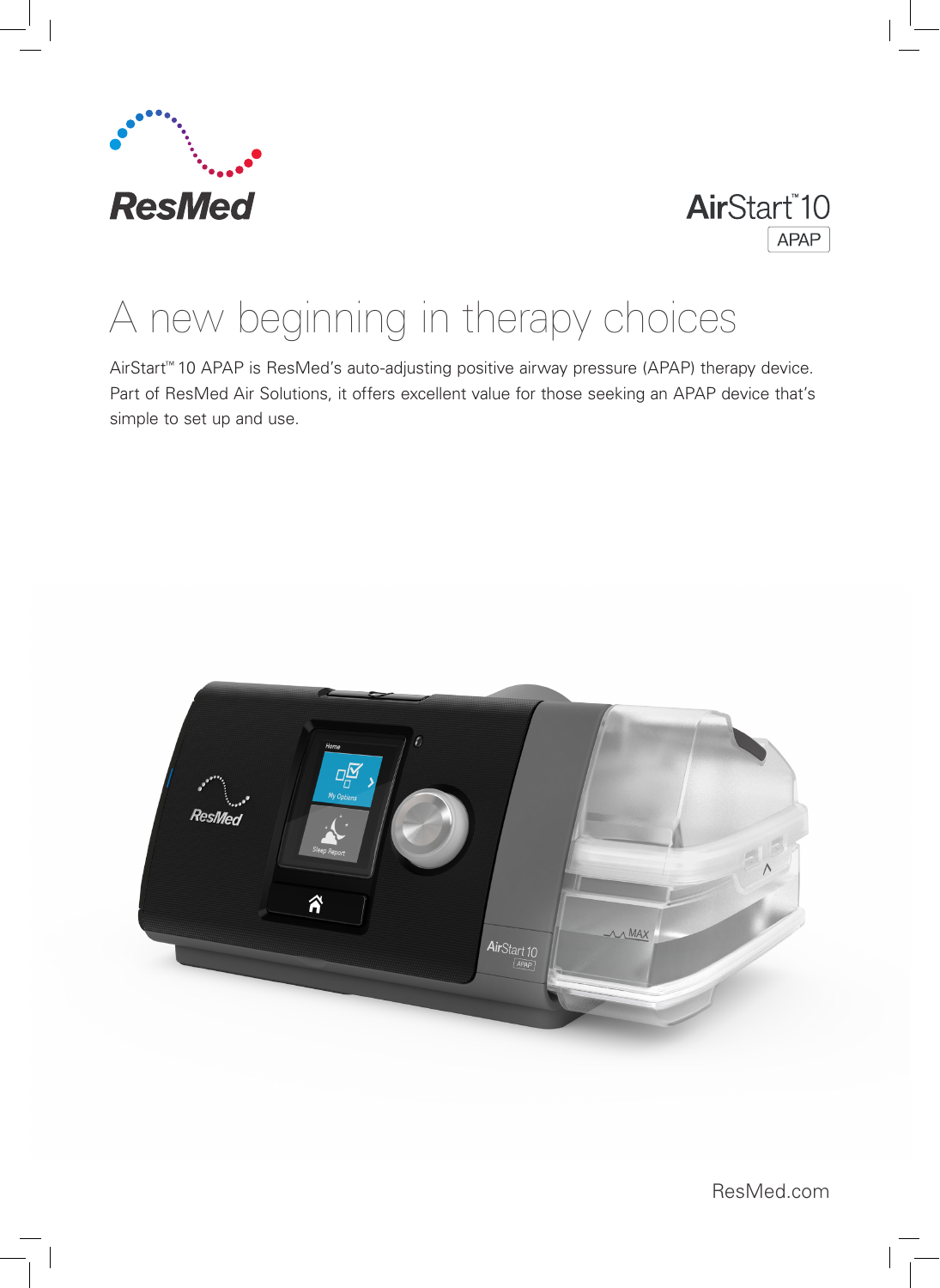



# A new beginning in therapy choices

AirStart™ 10 APAP is ResMed's auto-adjusting positive airway pressure (APAP) therapy device. Part of ResMed Air Solutions, it offers excellent value for those seeking an APAP device that's simple to set up and use.



ResMed.com